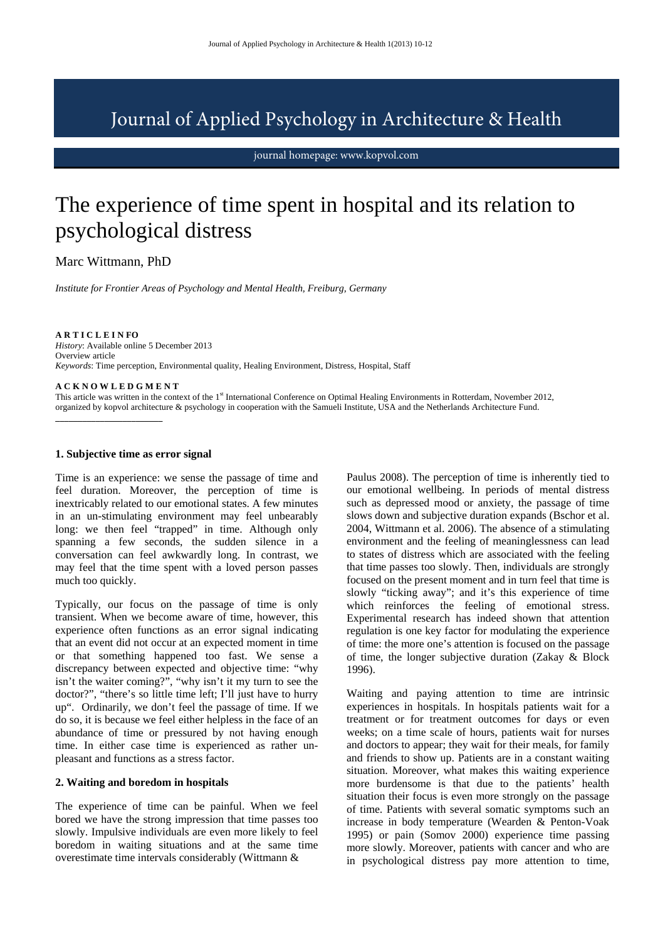## Journal of Applied Psychology in Architecture & Health

journal homepage: www.kopvol.com

# The experience of time spent in hospital and its relation to psychological distress

Marc Wittmann, PhD

*Institute for Frontier Areas of Psychology and Mental Health, Freiburg, Germany* 

**A R T I C L E I N FO**  *History*: Available online 5 December 2013 Overview article *Keywords*: Time perception, Environmental quality, Healing Environment, Distress, Hospital, Staff

## **A C K N O W L E D G M E N T**

**\_\_\_\_\_\_\_\_\_\_\_\_\_\_\_\_\_\_\_\_\_\_\_\_** 

This article was written in the context of the 1<sup>st</sup> International Conference on Optimal Healing Environments in Rotterdam, November 2012, organized by kopvol architecture & psychology in cooperation with the Samueli Institute, USA and the Netherlands Architecture Fund.

### **1. Subjective time as error signal**

Time is an experience: we sense the passage of time and feel duration. Moreover, the perception of time is inextricably related to our emotional states. A few minutes in an un-stimulating environment may feel unbearably long: we then feel "trapped" in time. Although only spanning a few seconds, the sudden silence in a conversation can feel awkwardly long. In contrast, we may feel that the time spent with a loved person passes much too quickly.

Typically, our focus on the passage of time is only transient. When we become aware of time, however, this experience often functions as an error signal indicating that an event did not occur at an expected moment in time or that something happened too fast. We sense a discrepancy between expected and objective time: "why isn't the waiter coming?", "why isn't it my turn to see the doctor?", "there's so little time left; I'll just have to hurry up". Ordinarily, we don't feel the passage of time. If we do so, it is because we feel either helpless in the face of an abundance of time or pressured by not having enough time. In either case time is experienced as rather unpleasant and functions as a stress factor.

#### **2. Waiting and boredom in hospitals**

The experience of time can be painful. When we feel bored we have the strong impression that time passes too slowly. Impulsive individuals are even more likely to feel boredom in waiting situations and at the same time overestimate time intervals considerably (Wittmann &

Paulus 2008). The perception of time is inherently tied to our emotional wellbeing. In periods of mental distress such as depressed mood or anxiety, the passage of time slows down and subjective duration expands (Bschor et al. 2004, Wittmann et al. 2006). The absence of a stimulating environment and the feeling of meaninglessness can lead to states of distress which are associated with the feeling that time passes too slowly. Then, individuals are strongly focused on the present moment and in turn feel that time is slowly "ticking away"; and it's this experience of time which reinforces the feeling of emotional stress. Experimental research has indeed shown that attention regulation is one key factor for modulating the experience of time: the more one's attention is focused on the passage of time, the longer subjective duration (Zakay & Block 1996).

Waiting and paying attention to time are intrinsic experiences in hospitals. In hospitals patients wait for a treatment or for treatment outcomes for days or even weeks; on a time scale of hours, patients wait for nurses and doctors to appear; they wait for their meals, for family and friends to show up. Patients are in a constant waiting situation. Moreover, what makes this waiting experience more burdensome is that due to the patients' health situation their focus is even more strongly on the passage of time. Patients with several somatic symptoms such an increase in body temperature (Wearden & Penton-Voak 1995) or pain (Somov 2000) experience time passing more slowly. Moreover, patients with cancer and who are in psychological distress pay more attention to time,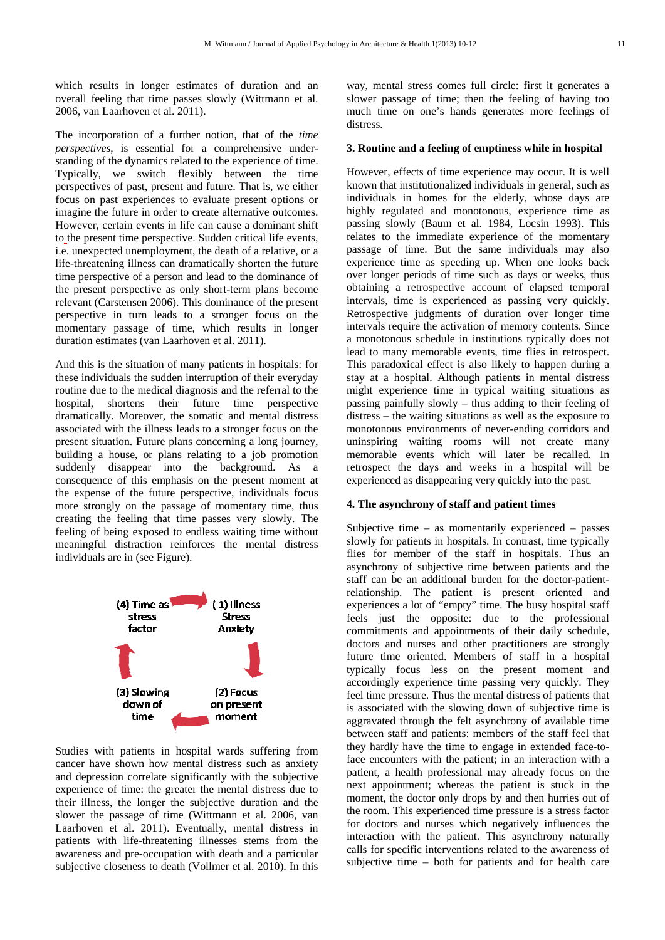which results in longer estimates of duration and an overall feeling that time passes slowly (Wittmann et al. 2006, van Laarhoven et al. 2011).

The incorporation of a further notion, that of the *time perspectives*, is essential for a comprehensive understanding of the dynamics related to the experience of time. Typically, we switch flexibly between the time perspectives of past, present and future. That is, we either focus on past experiences to evaluate present options or imagine the future in order to create alternative outcomes. However, certain events in life can cause a dominant shift to the present time perspective. Sudden critical life events, i.e. unexpected unemployment, the death of a relative, or a life-threatening illness can dramatically shorten the future time perspective of a person and lead to the dominance of the present perspective as only short-term plans become relevant (Carstensen 2006). This dominance of the present perspective in turn leads to a stronger focus on the momentary passage of time, which results in longer duration estimates (van Laarhoven et al. 2011).

And this is the situation of many patients in hospitals: for these individuals the sudden interruption of their everyday routine due to the medical diagnosis and the referral to the hospital, shortens their future time perspective dramatically. Moreover, the somatic and mental distress associated with the illness leads to a stronger focus on the present situation. Future plans concerning a long journey, building a house, or plans relating to a job promotion suddenly disappear into the background. As a consequence of this emphasis on the present moment at the expense of the future perspective, individuals focus more strongly on the passage of momentary time, thus creating the feeling that time passes very slowly. The feeling of being exposed to endless waiting time without meaningful distraction reinforces the mental distress individuals are in (see Figure).



Studies with patients in hospital wards suffering from cancer have shown how mental distress such as anxiety and depression correlate significantly with the subjective experience of time: the greater the mental distress due to their illness, the longer the subjective duration and the slower the passage of time (Wittmann et al. 2006, van Laarhoven et al. 2011). Eventually, mental distress in patients with life-threatening illnesses stems from the awareness and pre-occupation with death and a particular subjective closeness to death (Vollmer et al. 2010). In this

way, mental stress comes full circle: first it generates a slower passage of time; then the feeling of having too much time on one's hands generates more feelings of distress.

## **3. Routine and a feeling of emptiness while in hospital**

However, effects of time experience may occur. It is well known that institutionalized individuals in general, such as individuals in homes for the elderly, whose days are highly regulated and monotonous, experience time as passing slowly (Baum et al. 1984, Locsin 1993). This relates to the immediate experience of the momentary passage of time. But the same individuals may also experience time as speeding up. When one looks back over longer periods of time such as days or weeks, thus obtaining a retrospective account of elapsed temporal intervals, time is experienced as passing very quickly. Retrospective judgments of duration over longer time intervals require the activation of memory contents. Since a monotonous schedule in institutions typically does not lead to many memorable events, time flies in retrospect. This paradoxical effect is also likely to happen during a stay at a hospital. Although patients in mental distress might experience time in typical waiting situations as passing painfully slowly – thus adding to their feeling of distress – the waiting situations as well as the exposure to monotonous environments of never-ending corridors and uninspiring waiting rooms will not create many memorable events which will later be recalled. In retrospect the days and weeks in a hospital will be experienced as disappearing very quickly into the past.

## **4. The asynchrony of staff and patient times**

Subjective time – as momentarily experienced – passes slowly for patients in hospitals. In contrast, time typically flies for member of the staff in hospitals. Thus an asynchrony of subjective time between patients and the staff can be an additional burden for the doctor-patientrelationship. The patient is present oriented and experiences a lot of "empty" time. The busy hospital staff feels just the opposite: due to the professional commitments and appointments of their daily schedule, doctors and nurses and other practitioners are strongly future time oriented. Members of staff in a hospital typically focus less on the present moment and accordingly experience time passing very quickly. They feel time pressure. Thus the mental distress of patients that is associated with the slowing down of subjective time is aggravated through the felt asynchrony of available time between staff and patients: members of the staff feel that they hardly have the time to engage in extended face-toface encounters with the patient; in an interaction with a patient, a health professional may already focus on the next appointment; whereas the patient is stuck in the moment, the doctor only drops by and then hurries out of the room. This experienced time pressure is a stress factor for doctors and nurses which negatively influences the interaction with the patient. This asynchrony naturally calls for specific interventions related to the awareness of subjective time – both for patients and for health care